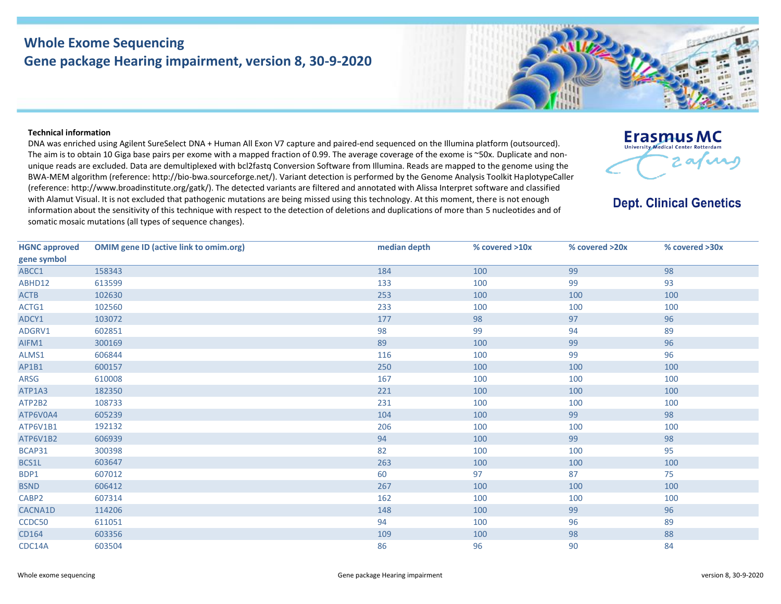## **Whole Exome Sequencing Gene package Hearing impairment, version 8, 30-9-2020**

## **Technical information**

DNA was enriched using Agilent SureSelect DNA + Human All Exon V7 capture and paired-end sequenced on the Illumina platform (outsourced). The aim is to obtain 10 Giga base pairs per exome with a mapped fraction of 0.99. The average coverage of the exome is ~50x. Duplicate and nonunique reads are excluded. Data are demultiplexed with bcl2fastq Conversion Software from Illumina. Reads are mapped to the genome using the BWA-MEM algorithm (reference: http://bio‐bwa.sourceforge.net/). Variant detection is performed by the Genome Analysis Toolkit HaplotypeCaller (reference: http://www.broadinstitute.org/gatk/). The detected variants are filtered and annotated with Alissa Interpret software and classified with Alamut Visual. It is not excluded that pathogenic mutations are being missed using this technology. At this moment, there is not enough information about the sensitivity of this technique with respect to the detection of deletions and duplications of more than 5 nucleotides and of somatic mosaic mutations (all types of sequence changes).



**Dept. Clinical Genetics** 

| <b>HGNC approved</b> | <b>OMIM gene ID (active link to omim.org)</b> | median depth | % covered >10x | % covered >20x | % covered >30x |
|----------------------|-----------------------------------------------|--------------|----------------|----------------|----------------|
| gene symbol          |                                               |              |                |                |                |
| ABCC1                | 158343                                        | 184          | 100            | 99             | 98             |
| ABHD12               | 613599                                        | 133          | 100            | 99             | 93             |
| <b>ACTB</b>          | 102630                                        | 253          | 100            | 100            | 100            |
| ACTG1                | 102560                                        | 233          | 100            | 100            | 100            |
| ADCY1                | 103072                                        | 177          | 98             | 97             | 96             |
| ADGRV1               | 602851                                        | 98           | 99             | 94             | 89             |
| AIFM1                | 300169                                        | 89           | 100            | 99             | 96             |
| ALMS1                | 606844                                        | 116          | 100            | 99             | 96             |
| AP1B1                | 600157                                        | 250          | 100            | 100            | 100            |
| ARSG                 | 610008                                        | 167          | 100            | 100            | 100            |
| ATP1A3               | 182350                                        | 221          | 100            | 100            | 100            |
| ATP2B2               | 108733                                        | 231          | 100            | 100            | 100            |
| ATP6V0A4             | 605239                                        | 104          | 100            | 99             | 98             |
| ATP6V1B1             | 192132                                        | 206          | 100            | 100            | 100            |
| ATP6V1B2             | 606939                                        | 94           | 100            | 99             | 98             |
| BCAP31               | 300398                                        | 82           | 100            | 100            | 95             |
| BCS1L                | 603647                                        | 263          | 100            | 100            | 100            |
| BDP1                 | 607012                                        | 60           | 97             | 87             | 75             |
| <b>BSND</b>          | 606412                                        | 267          | 100            | 100            | 100            |
| CABP2                | 607314                                        | 162          | 100            | 100            | 100            |
| CACNA1D              | 114206                                        | 148          | 100            | 99             | 96             |
| CCDC50               | 611051                                        | 94           | 100            | 96             | 89             |
| CD164                | 603356                                        | 109          | 100            | 98             | 88             |
| CDC14A               | 603504                                        | 86           | 96             | 90             | 84             |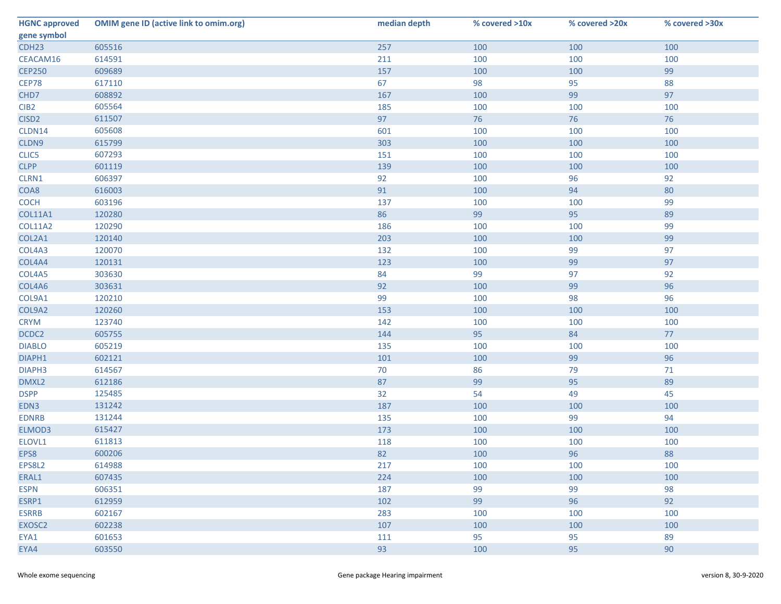| <b>HGNC approved</b> | <b>OMIM gene ID (active link to omim.org)</b> | median depth | % covered >10x | % covered >20x | % covered >30x |
|----------------------|-----------------------------------------------|--------------|----------------|----------------|----------------|
| gene symbol          |                                               |              |                |                |                |
| CDH <sub>23</sub>    | 605516                                        | 257          | 100            | 100            | 100            |
| CEACAM16             | 614591                                        | 211          | 100            | 100            | 100            |
| <b>CEP250</b>        | 609689                                        | 157          | 100            | 100            | 99             |
| <b>CEP78</b>         | 617110                                        | 67           | 98             | 95             | 88             |
| CHD7                 | 608892                                        | 167          | 100            | 99             | 97             |
| CIB <sub>2</sub>     | 605564                                        | 185          | 100            | 100            | 100            |
| CISD <sub>2</sub>    | 611507                                        | 97           | 76             | 76             | 76             |
| CLDN14               | 605608                                        | 601          | 100            | 100            | 100            |
| CLDN9                | 615799                                        | 303          | 100            | 100            | 100            |
| CLIC5                | 607293                                        | 151          | 100            | 100            | 100            |
| <b>CLPP</b>          | 601119                                        | 139          | 100            | 100            | 100            |
| CLRN1                | 606397                                        | 92           | 100            | 96             | 92             |
| COA8                 | 616003                                        | 91           | 100            | 94             | 80             |
| <b>COCH</b>          | 603196                                        | 137          | 100            | 100            | 99             |
| <b>COL11A1</b>       | 120280                                        | 86           | 99             | 95             | 89             |
| COL11A2              | 120290                                        | 186          | 100            | 100            | 99             |
| COL2A1               | 120140                                        | 203          | 100            | 100            | 99             |
| COL4A3               | 120070                                        | 132          | 100            | 99             | 97             |
| COL4A4               | 120131                                        | 123          | 100            | 99             | 97             |
| COL4A5               | 303630                                        | 84           | 99             | 97             | 92             |
| COL4A6               | 303631                                        | 92           | 100            | 99             | 96             |
| COL9A1               | 120210                                        | 99           | 100            | 98             | 96             |
| COL9A2               | 120260                                        | 153          | 100            | 100            | 100            |
| <b>CRYM</b>          | 123740                                        | 142          | 100            | 100            | 100            |
| DCDC2                | 605755                                        | 144          | 95             | 84             | 77             |
| <b>DIABLO</b>        | 605219                                        | 135          | 100            | 100            | 100            |
| DIAPH1               | 602121                                        | 101          | 100            | 99             | 96             |
| DIAPH3               | 614567                                        | 70           | 86             | 79             | 71             |
| DMXL2                | 612186                                        | 87           | 99             | 95             | 89             |
| <b>DSPP</b>          | 125485                                        | 32           | 54             | 49             | 45             |
| EDN3                 | 131242                                        | 187          | 100            | 100            | 100            |
| <b>EDNRB</b>         | 131244                                        | 135          | 100            | 99             | 94             |
| ELMOD3               | 615427                                        | 173          | 100            | 100            | 100            |
| ELOVL1               | 611813                                        | 118          | 100            | 100            | 100            |
| EPS8                 | 600206                                        | 82           | 100            | 96             | 88             |
| EPS8L2               | 614988                                        | 217          | 100            | 100            | 100            |
| ERAL1                | 607435                                        | 224          | 100            | 100            | 100            |
| <b>ESPN</b>          | 606351                                        | 187          | 99             | 99             | 98             |
| ESRP1                | 612959                                        | 102          | 99             | 96             | 92             |
| <b>ESRRB</b>         | 602167                                        | 283          | 100            | 100            | 100            |
| EXOSC <sub>2</sub>   | 602238                                        | 107          | 100            | 100            | 100            |
| EYA1                 | 601653                                        | 111          | 95             | 95             | 89             |
| EYA4                 | 603550                                        | 93           | 100            | 95             | 90             |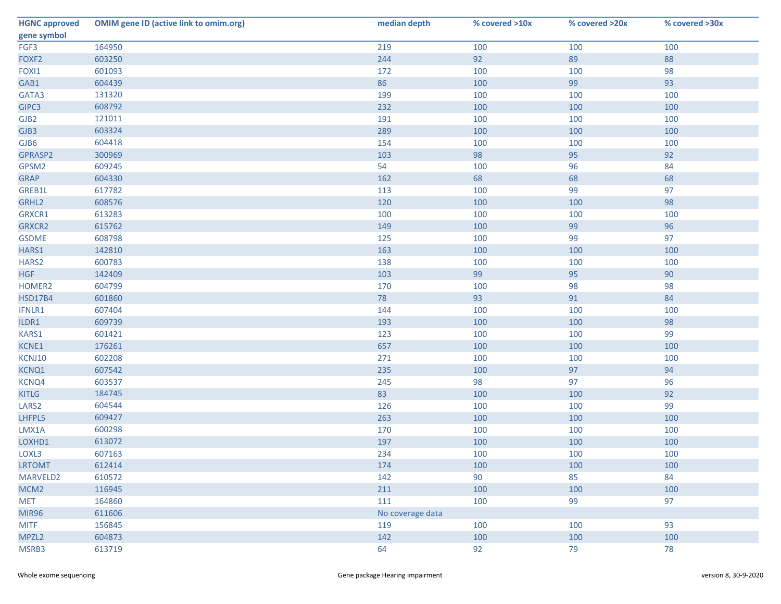| <b>HGNC approved</b> | <b>OMIM gene ID (active link to omim.org)</b> | median depth     | % covered >10x | % covered >20x | % covered >30x |
|----------------------|-----------------------------------------------|------------------|----------------|----------------|----------------|
| gene symbol          |                                               |                  |                |                |                |
| FGF3                 | 164950                                        | 219              | 100            | 100            | 100            |
| FOXF <sub>2</sub>    | 603250                                        | 244              | 92             | 89             | 88             |
| FOXI1                | 601093                                        | 172              | 100            | 100            | 98             |
| GAB1                 | 604439                                        | 86               | 100            | 99             | 93             |
| GATA3                | 131320                                        | 199              | 100            | 100            | 100            |
| GIPC3                | 608792                                        | 232              | 100            | 100            | 100            |
| GJB <sub>2</sub>     | 121011                                        | 191              | 100            | 100            | 100            |
| GJB3                 | 603324                                        | 289              | 100            | 100            | 100            |
| GJB6                 | 604418                                        | 154              | 100            | 100            | 100            |
| GPRASP2              | 300969                                        | 103              | 98             | 95             | 92             |
| GPSM2                | 609245                                        | 54               | 100            | 96             | 84             |
| <b>GRAP</b>          | 604330                                        | 162              | 68             | 68             | 68             |
| GREB1L               | 617782                                        | 113              | 100            | 99             | 97             |
| GRHL2                | 608576                                        | 120              | 100            | 100            | 98             |
| GRXCR1               | 613283                                        | 100              | 100            | 100            | 100            |
| GRXCR2               | 615762                                        | 149              | 100            | 99             | 96             |
| <b>GSDME</b>         | 608798                                        | 125              | 100            | 99             | 97             |
| HARS1                | 142810                                        | 163              | 100            | 100            | 100            |
| HARS2                | 600783                                        | 138              | 100            | 100            | 100            |
| <b>HGF</b>           | 142409                                        | 103              | 99             | 95             | 90             |
| HOMER2               | 604799                                        | 170              | 100            | 98             | 98             |
| <b>HSD17B4</b>       | 601860                                        | 78               | 93             | 91             | 84             |
| IFNLR1               | 607404                                        | 144              | 100            | 100            | 100            |
| ILDR1                | 609739                                        | 193              | 100            | 100            | 98             |
| KARS1                | 601421                                        | 123              | 100            | 100            | 99             |
| KCNE1                | 176261                                        | 657              | 100            | 100            | 100            |
| KCNJ10               | 602208                                        | 271              | 100            | 100            | 100            |
| KCNQ1                | 607542                                        | 235              | 100            | 97             | 94             |
| KCNQ4                | 603537                                        | 245              | 98             | 97             | 96             |
| <b>KITLG</b>         | 184745                                        | 83               | 100            | 100            | 92             |
| LARS <sub>2</sub>    | 604544                                        | 126              | 100            | 100            | 99             |
| LHFPL5               | 609427                                        | 263              | 100            | 100            | 100            |
| LMX1A                | 600298                                        | 170              | 100            | 100            | 100            |
| LOXHD1               | 613072                                        | 197              | 100            | 100            | 100            |
| LOXL3                | 607163                                        | 234              | 100            | 100            | 100            |
| <b>LRTOMT</b>        | 612414                                        | 174              | 100            | 100            | 100            |
| MARVELD2             | 610572                                        | 142              | 90             | 85             | 84             |
| MCM <sub>2</sub>     | 116945                                        | 211              | 100            | 100            | 100            |
| <b>MET</b>           | 164860                                        | 111              | 100            | 99             | 97             |
| <b>MIR96</b>         | 611606                                        | No coverage data |                |                |                |
| <b>MITF</b>          | 156845                                        | 119              | 100            | 100            | 93             |
| MPZL <sub>2</sub>    | 604873                                        | 142              | 100            | 100            | 100            |
| MSRB3                | 613719                                        | 64               | 92             | 79             | 78             |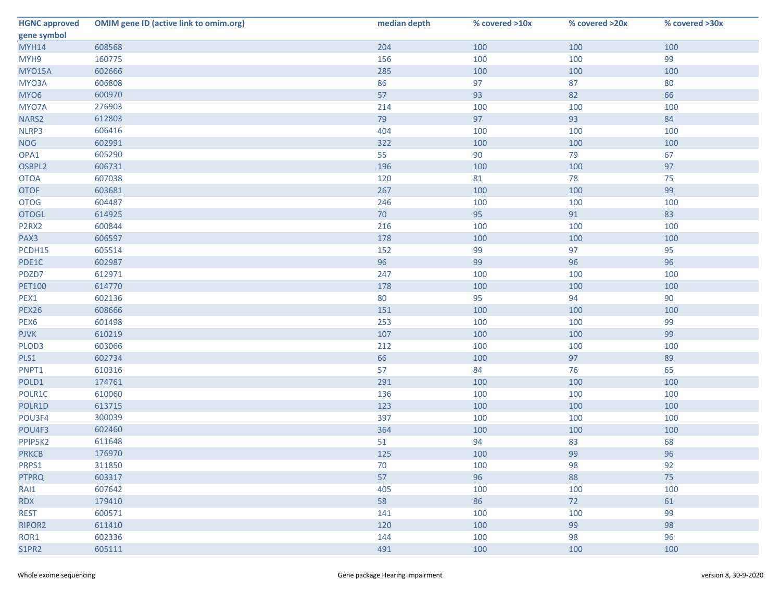| <b>HGNC approved</b> | <b>OMIM gene ID (active link to omim.org)</b> | median depth | % covered >10x | % covered >20x | % covered >30x |
|----------------------|-----------------------------------------------|--------------|----------------|----------------|----------------|
| gene symbol          |                                               |              |                |                |                |
| <b>MYH14</b>         | 608568                                        | 204          | 100            | 100            | 100            |
| MYH9                 | 160775                                        | 156          | 100            | 100            | 99             |
| <b>MYO15A</b>        | 602666                                        | 285          | 100            | 100            | 100            |
| MYO3A                | 606808                                        | 86           | 97             | 87             | 80             |
| MYO6                 | 600970                                        | 57           | 93             | 82             | 66             |
| MYO7A                | 276903                                        | 214          | 100            | 100            | 100            |
| NARS2                | 612803                                        | 79           | 97             | 93             | 84             |
| NLRP3                | 606416                                        | 404          | 100            | 100            | 100            |
| <b>NOG</b>           | 602991                                        | 322          | 100            | 100            | 100            |
| OPA1                 | 605290                                        | 55           | 90             | 79             | 67             |
| OSBPL2               | 606731                                        | 196          | 100            | 100            | 97             |
| <b>OTOA</b>          | 607038                                        | 120          | 81             | 78             | 75             |
| <b>OTOF</b>          | 603681                                        | 267          | 100            | 100            | 99             |
| <b>OTOG</b>          | 604487                                        | 246          | 100            | 100            | 100            |
| <b>OTOGL</b>         | 614925                                        | 70           | 95             | 91             | 83             |
| P2RX2                | 600844                                        | 216          | 100            | 100            | 100            |
| PAX3                 | 606597                                        | 178          | 100            | 100            | 100            |
| PCDH15               | 605514                                        | 152          | 99             | 97             | 95             |
| PDE1C                | 602987                                        | 96           | 99             | 96             | 96             |
| PDZD7                | 612971                                        | 247          | 100            | 100            | 100            |
| <b>PET100</b>        | 614770                                        | 178          | 100            | 100            | 100            |
| PEX1                 | 602136                                        | 80           | 95             | 94             | 90             |
| <b>PEX26</b>         | 608666                                        | 151          | 100            | 100            | 100            |
| PEX6                 | 601498                                        | 253          | 100            | 100            | 99             |
| <b>PJVK</b>          | 610219                                        | 107          | 100            | 100            | 99             |
| PLOD3                | 603066                                        | 212          | 100            | 100            | 100            |
| PLS1                 | 602734                                        | 66           | 100            | 97             | 89             |
| PNPT1                | 610316                                        | 57           | 84             | 76             | 65             |
| POLD1                | 174761                                        | 291          | 100            | 100            | 100            |
| POLR1C               | 610060                                        | 136          | 100            | 100            | 100            |
| POLR1D               | 613715                                        | 123          | 100            | 100            | 100            |
| POU3F4               | 300039                                        | 397          | 100            | 100            | 100            |
| POU4F3               | 602460                                        | 364          | 100            | 100            | 100            |
| PPIP5K2              | 611648                                        | 51           | 94             | 83             | 68             |
| <b>PRKCB</b>         | 176970                                        | 125          | 100            | 99             | 96             |
| PRPS1                | 311850                                        | 70           | 100            | 98             | 92             |
| <b>PTPRQ</b>         | 603317                                        | 57           | 96             | 88             | 75             |
| RAI1                 | 607642                                        | 405          | 100            | 100            | 100            |
| <b>RDX</b>           | 179410                                        | 58           | 86             | 72             | 61             |
| <b>REST</b>          | 600571                                        | 141          | 100            | 100            | 99             |
| RIPOR2               | 611410                                        | 120          | 100            | 99             | 98             |
| ROR1                 | 602336                                        | 144          | 100            | 98             | 96             |
| S1PR2                | 605111                                        | 491          | 100            | 100            | 100            |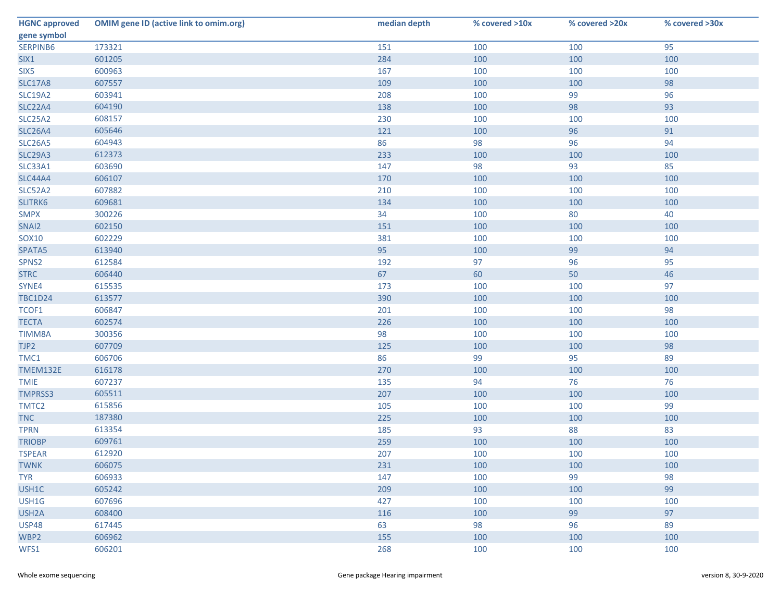| <b>HGNC approved</b> | <b>OMIM gene ID (active link to omim.org)</b> | median depth | % covered >10x | % covered >20x | % covered >30x |
|----------------------|-----------------------------------------------|--------------|----------------|----------------|----------------|
| gene symbol          |                                               |              |                |                |                |
| SERPINB6             | 173321                                        | 151          | 100            | 100            | 95             |
| SIX1                 | 601205                                        | 284          | 100            | 100            | 100            |
| SIX <sub>5</sub>     | 600963                                        | 167          | 100            | 100            | 100            |
| <b>SLC17A8</b>       | 607557                                        | 109          | 100            | 100            | 98             |
| <b>SLC19A2</b>       | 603941                                        | 208          | 100            | 99             | 96             |
| <b>SLC22A4</b>       | 604190                                        | 138          | 100            | 98             | 93             |
| <b>SLC25A2</b>       | 608157                                        | 230          | 100            | 100            | 100            |
| <b>SLC26A4</b>       | 605646                                        | 121          | 100            | 96             | 91             |
| <b>SLC26A5</b>       | 604943                                        | 86           | 98             | 96             | 94             |
| <b>SLC29A3</b>       | 612373                                        | 233          | 100            | 100            | 100            |
| SLC33A1              | 603690                                        | 147          | 98             | 93             | 85             |
| <b>SLC44A4</b>       | 606107                                        | 170          | 100            | 100            | 100            |
| <b>SLC52A2</b>       | 607882                                        | 210          | 100            | 100            | 100            |
| SLITRK6              | 609681                                        | 134          | 100            | 100            | 100            |
| <b>SMPX</b>          | 300226                                        | 34           | 100            | 80             | 40             |
| SNAI2                | 602150                                        | 151          | 100            | 100            | 100            |
| <b>SOX10</b>         | 602229                                        | 381          | 100            | 100            | 100            |
| SPATA5               | 613940                                        | 95           | 100            | 99             | 94             |
| SPNS2                | 612584                                        | 192          | 97             | 96             | 95             |
| <b>STRC</b>          | 606440                                        | 67           | 60             | 50             | 46             |
| SYNE4                | 615535                                        | 173          | 100            | 100            | 97             |
| <b>TBC1D24</b>       | 613577                                        | 390          | 100            | 100            | 100            |
| TCOF1                | 606847                                        | 201          | 100            | 100            | 98             |
| <b>TECTA</b>         | 602574                                        | 226          | 100            | 100            | 100            |
| TIMM8A               | 300356                                        | 98           | 100            | 100            | 100            |
| TJP2                 | 607709                                        | 125          | 100            | 100            | 98             |
| TMC1                 | 606706                                        | 86           | 99             | 95             | 89             |
| TMEM132E             | 616178                                        | 270          | 100            | 100            | 100            |
| <b>TMIE</b>          | 607237                                        | 135          | 94             | 76             | 76             |
| <b>TMPRSS3</b>       | 605511                                        | 207          | 100            | 100            | 100            |
| TMTC2                | 615856                                        | 105          | 100            | 100            | 99             |
| <b>TNC</b>           | 187380                                        | 225          | 100            | 100            | 100            |
| <b>TPRN</b>          | 613354                                        | 185          | 93             | 88             | 83             |
| <b>TRIOBP</b>        | 609761                                        | 259          | 100            | 100            | 100            |
| <b>TSPEAR</b>        | 612920                                        | 207          | 100            | 100            | 100            |
| <b>TWNK</b>          | 606075                                        | 231          | 100            | 100            | 100            |
| <b>TYR</b>           | 606933                                        | 147          | 100            | 99             | 98             |
| USH1C                | 605242                                        | 209          | 100            | 100            | 99             |
| USH1G                | 607696                                        | 427          | 100            | 100            | 100            |
| USH <sub>2</sub> A   | 608400                                        | 116          | 100            | 99             | 97             |
| <b>USP48</b>         | 617445                                        | 63           | 98             | 96             | 89             |
| WBP2                 | 606962                                        | 155          | 100            | 100            | 100            |
| WFS1                 | 606201                                        | 268          | 100            | 100            | 100            |